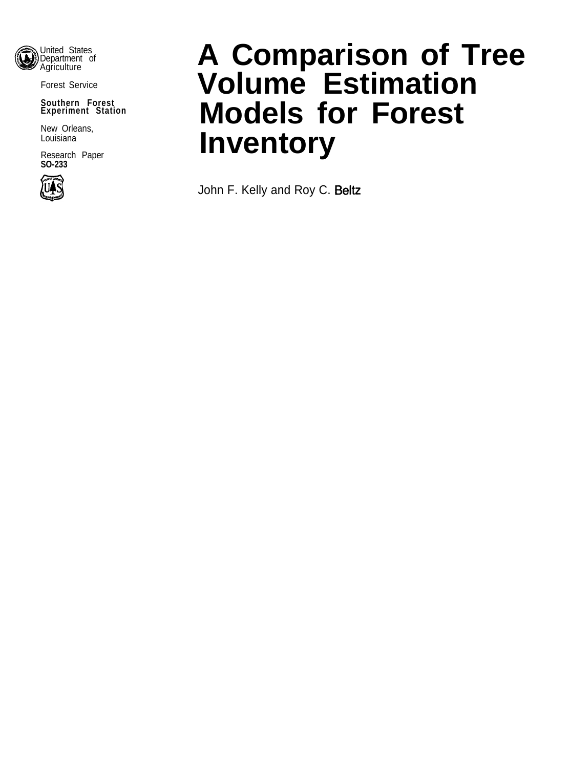

Forest Service

#### **Southern Forest Experiment Station**

New Orleans, Louisiana

Research Paper **SO-233**



# **A Comparison of Tree Volume Estimation Models for Forest Inventory**

John F. Kelly and Roy C. Beltz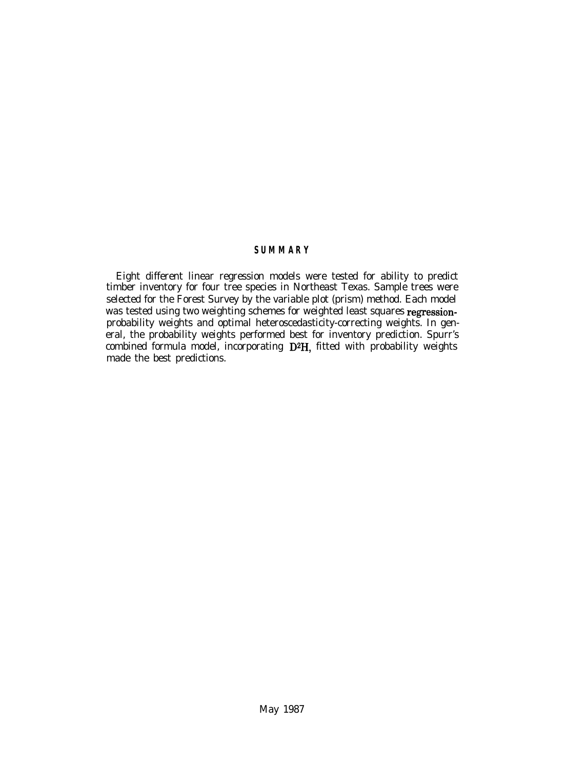# **SUMMARY**

Eight different linear regression models were tested for ability to predict timber inventory for four tree species in Northeast Texas. Sample trees were selected for the Forest Survey by the variable plot (prism) method. Each model was tested using two weighting schemes for weighted least squares regressionprobability weights and optimal heteroscedasticity-correcting weights. In general, the probability weights performed best for inventory prediction. Spurr's combined formula model, incorporating  $D^2H$ , fitted with probability weights made the best predictions.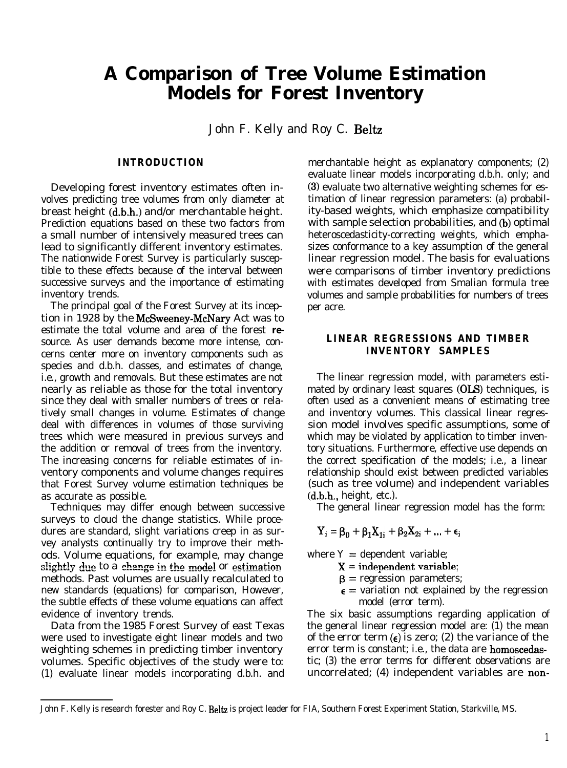# **A Comparison of Tree Volume Estimation Models for Forest Inventory**

John F. Kelly and Roy C. Beltz

#### **INTRODUCTION**

Developing forest inventory estimates often involves predicting tree volumes from only diameter at breast height (d.b.h.) and/or merchantable height. Prediction equations based on these two factors from a small number of intensively measured trees can lead to significantly different inventory estimates. The nationwide Forest Survey is particularly susceptible to these effects because of the interval between successive surveys and the importance of estimating inventory trends.

The principal goal of the Forest Survey at its inception in 1928 by the McSweeney-McNary Act was to estimate the total volume and area of the forest *re*source. As user demands become more intense, concerns center more on inventory components such as species and d.b.h. classes, and estimates of change, i.e., growth and removals. But these estimates are not nearly as reliable as those for the total inventory since they deal with smaller numbers of trees or relatively small changes in volume. Estimates of change deal with differences in volumes of those surviving trees which were measured in previous surveys and the addition or removal of trees from the inventory. The increasing concerns for reliable estimates of inventory components and volume changes requires that Forest Survey volume estimation techniques be as accurate as possible.

Techniques may differ enough between successive surveys to cloud the change statistics. While procedures are standard, slight variations creep in as survey analysts continually try to improve their methods. Volume equations, for example, may change slightly due to a change in the model or estimation methods. Past volumes are usually recalculated to new standards (equations) for comparison, However, the subtle effects of these volume equations can affect evidence of inventory trends.

Data from the 1985 Forest Survey of east Texas were used to investigate eight linear models and two weighting schemes in predicting timber inventory volumes. Specific objectives of the study were to: (1) evaluate linear models incorporating d.b.h. and merchantable height as explanatory components; (2) evaluate linear models incorporating d.b.h. only; and (3) evaluate two alternative weighting schemes for estimation of linear regression parameters: (a) probability-based weights, which emphasize compatibility with sample selection probabilities, and (b) optimal heteroscedasticity-correcting weights, which emphasizes conformance to a key assumption of the general linear regression model. The basis for evaluations were comparisons of timber inventory predictions with estimates developed from Smalian formula tree volumes and sample probabilities for numbers of trees per acre.

# **LINEAR REGRESSIONS AND TIMBER INVENTORY SAMPLES**

The linear regression model, with parameters estimated by ordinary least squares (OLS) techniques, is often used as a convenient means of estimating tree and inventory volumes. This classical linear regression model involves specific assumptions, some of which may be violated by application to timber inventory situations. Furthermore, effective use depends on the correct specification of the models; i.e., a linear relationship should exist between predicted variables (such as tree volume) and independent variables  $(d.b.h., height, etc.).$ 

The general linear regression model has the form:

$$
Y_i = \beta_0 + \beta_1 X_{1i} + \beta_2 X_{2i} + \ldots + \varepsilon_i
$$

- where  $Y =$  dependent variable;
	- $X =$  independent variable;
	- $\beta$  = regression parameters;
	- $\epsilon$  = variation not explained by the regression model (error term).

The six basic assumptions regarding application of the general linear regression model are: (1) the mean of the error term  $\epsilon$ ) is zero; (2) the variance of the error term is constant; i.e., the data are homoscedastic; (3) the error terms for different observations are uncorrelated; (4) independent variables are non-

John F. Kelly is research forester and Roy C. Beltz is project leader for FIA, Southern Forest Experiment Station, Starkville, MS.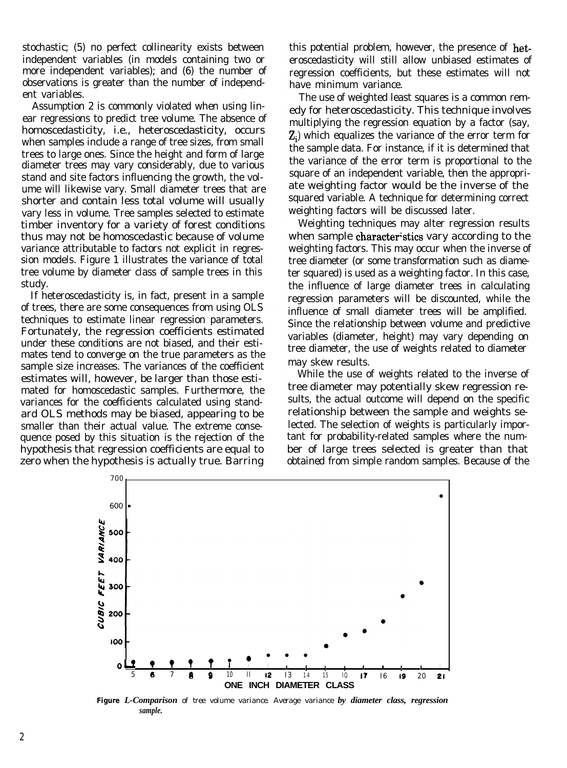stochastic; (5) no perfect collinearity exists between independent variables (in models containing two or more independent variables); and (6) the number of observations is greater than the number of independent variables.

Assumption 2 is commonly violated when using linear regressions to predict tree volume. The absence of homoscedasticity, i.e., heteroscedasticity, occurs when samples include a range of tree sizes, from small trees to large ones. Since the height and form of large diameter trees may vary considerably, due to various stand and site factors influencing the growth, the volume will likewise vary. Small diameter trees that are shorter and contain less total volume will usually vary less in volume. Tree samples selected to estimate timber inventory for a variety of forest conditions thus may not be homoscedastic because of volume variance attributable to factors not explicit in regression models. Figure 1 illustrates the variance of total tree volume by diameter class of sample trees in this study.

If heteroscedasticity is, in fact, present in a sample of trees, there are some consequences from using OLS techniques to estimate linear regression parameters. Fortunately, the regression coefficients estimated under these conditions are not biased, and their estimates tend to converge on the true parameters as the sample size increases. The variances of the coefficient estimates will, however, be larger than those estimated for homoscedastic samples. Furthermore, the variances for the coefficients calculated using standard OLS methods may be biased, appearing to be smaller than their actual value. The extreme consequence posed by this situation is the rejection of the hypothesis that regression coefficients are equal to zero when the hypothesis is actually true. Barring

this potential problem, however, the presence of heteroscedasticity will still allow unbiased estimates of regression coefficients, but these estimates will not have minimum variance.

The use of weighted least squares is a common remedy for heteroscedasticity. This technique involves multiplying the regression equation by a factor (say,  $Z_i$ ) which equalizes the variance of the error term for the sample data. For instance, if it is determined that the variance of the error term is proportional to the square of an independent variable, then the appropriate weighting factor would be the inverse of the squared variable. A technique for determining correct weighting factors will be discussed later.

Weighting techniques may alter regression results when sample characteristics vary according to the weighting factors. This may occur when the inverse of tree diameter (or some transformation such as diameter squared) is used as a weighting factor. In this case, the influence of large diameter trees in calculating regression parameters will be discounted, while the influence of small diameter trees will be amplified. Since the relationship between volume and predictive variables (diameter, height) may vary depending on tree diameter, the use of weights related to diameter may skew results.

While the use of weights related to the inverse of tree diameter may potentially skew regression results, the actual outcome will depend on the specific relationship between the sample and weights selected. The selection of weights is particularly important for probability-related samples where the number of large trees selected is greater than that obtained from simple random samples. Because of the



**Figure** *L-Comparison of tree volume variance. Average variance by diameter class, regression sample.*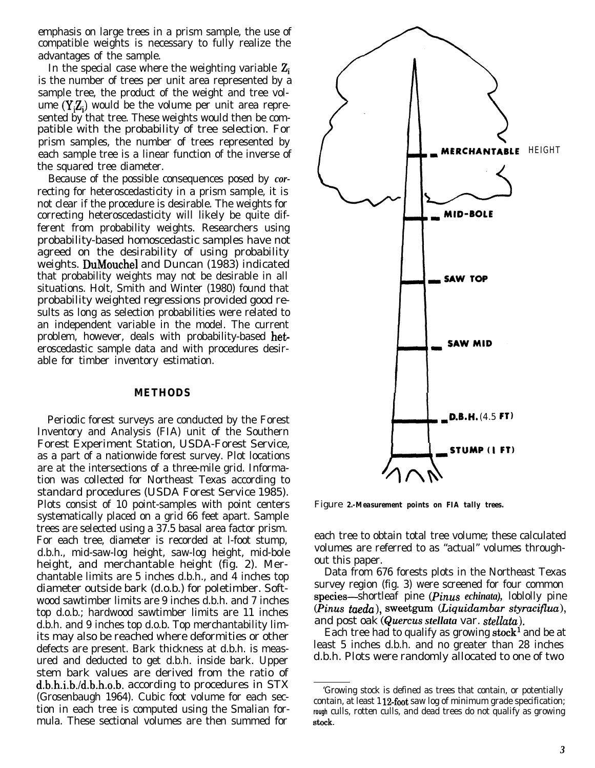emphasis on large trees in a prism sample, the use of compatible weights is necessary to fully realize the advantages of the sample.

In the special case where the weighting variable  $Z_i$ is the number of trees per unit area represented by a sample tree, the product of the weight and tree volume  $(Y,Z_i)$  would be the volume per unit area represented by that tree. These weights would then be compatible with the probability of tree selection. For prism samples, the number of trees represented by each sample tree is a linear function of the inverse of the squared tree diameter.

Because of the possible consequences posed by *cor*recting for heteroscedasticity in a prism sample, it is not clear if the procedure is desirable. The weights for correcting heteroscedasticity will likely be quite different from probability weights. Researchers using probability-based homoscedastic samples have not agreed on the desirability of using probability weights. DuMouchel and Duncan (1983) indicated that probability weights may not be desirable in all situations. Holt, Smith and Winter (1980) found that probability weighted regressions provided good results as long as selection probabilities were related to an independent variable in the model. The current problem, however, deals with probability-based heteroscedastic sample data and with procedures desirable for timber inventory estimation.

#### **METHODS**

Periodic forest surveys are conducted by the Forest Inventory and Analysis (FIA) unit of the Southern Forest Experiment Station, USDA-Forest Service, as a part of a nationwide forest survey. Plot locations are at the intersections of a three-mile grid. Information was collected for Northeast Texas according to standard procedures (USDA Forest Service 1985). Plots consist of 10 point-samples with point centers systematically placed on a grid 66 feet apart. Sample trees are selected using a 37.5 basal area factor prism. For each tree, diameter is recorded at l-foot stump, d.b.h., mid-saw-log height, saw-log height, mid-bole height, and merchantable height (fig. 2). Merchantable limits are 5 inches d.b.h., and 4 inches top diameter outside bark (d.o.b.) for poletimber. Softwood sawtimber limits are 9 inches d.b.h. and 7 inches top d.o.b.; hardwood sawtimber limits are 11 inches d.b.h. and 9 inches top d.o.b. Top merchantability limits may also be reached where deformities or other defects are present. Bark thickness at d.b.h. is measured and deducted to get d.b.h. inside bark. Upper stem bark values are derived from the ratio of d.b.h.i.b./d.b.h.o.b. according to procedures in STX (Grosenbaugh 1964). Cubic foot volume for each section in each tree is computed using the Smalian formula. These sectional volumes are then summed for



Figure *2.-Measurement points on FIA tally trees.*

each tree to obtain total tree volume; these calculated volumes are referred to as "actual" volumes throughout this paper.

Data from 676 forests plots in the Northeast Texas survey region (fig. 3) were screened for four common species-shortleaf pine (*Pinus echinata*), loblolly pine *(Pinus taeda),* sweetgum *(Liquidambar styraciflua),* and post oak (Quercus *stellata* var. *stellata).*

Each tree had to qualify as growing stock<sup>1</sup> and be at least 5 inches d.b.h. and no greater than 28 inches d.b.h. Plots were randomly allocated to one of two

<sup>&#</sup>x27;Growing stock is defined as trees that contain, or potentially contain, at least  $112$ -foot saw log of minimum grade specification; *rough* culls, rotten culls, and dead trees do not qualify as growing stock.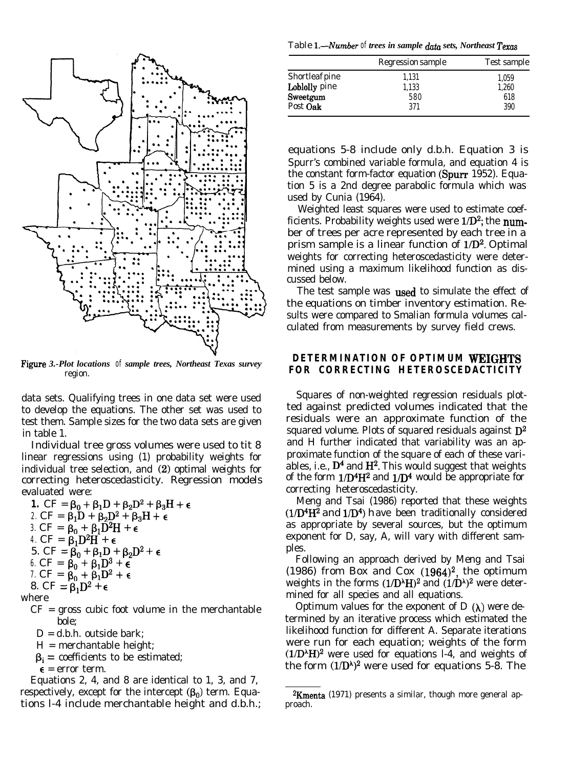

Figw *s 3.-Plot locations of sample trees, Northeast Texas survey* region.

data sets. Qualifying trees in one data set were used to develop the equations. The other set was used to test them. Sample sizes for the two data sets are given in table 1.

Individual tree gross volumes were used to tit 8 linear regressions using (1) probability weights for individual tree selection, and (2) optimal weights for correcting heteroscedasticity. Regression models evaluated were:

**1.**  $CF = \beta_0 + \beta_1 D + \beta_2 D^2 + \beta_3 H + \epsilon$ 2.  $CF = \beta_1 D + \beta_2 D^2 + \beta_3 H + \epsilon$ 3.  $CF = \beta_0 + \beta_1 D^2 H + \epsilon$ *4.*  $CF = \beta_1 D^2 H + \epsilon$ 5. CF =  $\beta_0 + \beta_1 D + \beta_2 D^2 + \epsilon$ *6.*  $CF = \beta_0 + \beta_1 D^3 + \epsilon$ *7.*  $CF = \beta_0 + \beta_1 D^2 + \epsilon$ 8. CF =  $\beta_1D^2 + \epsilon$ 

where

- $CF =$  gross cubic foot volume in the merchantable bole;
	- $D = d.b.h.$  outside bark:
	- H = merchantable height;
	- $\beta_i$  = coefficients to be estimated;
	- $\epsilon$  = error term.

Equations 2, 4, and 8 are identical to 1, 3, and 7, respectively, except for the intercept  $(\beta_0)$  term. Equations l-4 include merchantable height and d.b.h.;

Table *L---Number of trees in sample data sets, Northeast Texas*

|                | Regression sample | Test sample |
|----------------|-------------------|-------------|
| Shortleaf pine | 1,131             | 1,059       |
| Loblolly pine  | 1.133             | 1.260       |
| Sweetgum       | 580               | 618         |
| Post Oak       | 371               | 390         |
|                |                   |             |

equations 5-8 include only d.b.h. Equation 3 is Spurr's combined variable formula, and equation 4 is the constant form-factor equation (Spurr 1952). Equation 5 is a 2nd degree parabolic formula which was used by Cunia (1964).

Weighted least squares were used to estimate coefficients. Probability weights used were  $1/D^2$ ; the number of trees per acre represented by each tree in a prism sample is a linear function of  $1/D^2$ . Optimal weights for correcting heteroscedasticity were determined using a maximum likelihood function as discussed below.

The test sample was used to simulate the effect of the equations on timber inventory estimation. Results were compared to Smalian formula volumes calculated from measurements by survey field crews.

# **DETERMINATION OF OPTIMUM WEIGHTS FOR CORRECTING HETEROSCEDACTICITY**

Squares of non-weighted regression residuals plotted against predicted volumes indicated that the residuals were an approximate function of the squared volume. Plots of squared residuals against  $D^2$ and H further indicated that variability was an approximate function of the square of each of these variables, i.e.,  $D<sup>4</sup>$  and  $H<sup>2</sup>$ . This would suggest that weights of the form  $1/D<sup>4</sup>H<sup>2</sup>$  and  $1/D<sup>4</sup>$  would be appropriate for correcting heteroscedasticity.

Meng and Tsai (1986) reported that these weights  $(1/D<sup>4</sup>H<sup>2</sup>$  and  $1/D<sup>4</sup>$ ) have been traditionally considered as appropriate by several sources, but the optimum exponent for D, say, A, will vary with different samples.

Following an approach derived by Meng and Tsai (1986) from Box and Cox  $(1964)^2$ , the optimum weights in the forms  $(1/D^{\lambda}H)^{2}$  and  $(1/D^{\lambda})^{2}$  were determined for all species and all equations.

Optimum values for the exponent of  $D(\lambda)$  were determined by an iterative process which estimated the likelihood function for different A. Separate iterations were run for each equation; weights of the form  $(1/D<sup>^</sup>H)<sup>2</sup>$  were used for equations l-4, and weights of the form  $(1/D^{\lambda})^2$  were used for equations 5-8. The

 $2$ Kmenta (1971) presents a similar, though more general approach.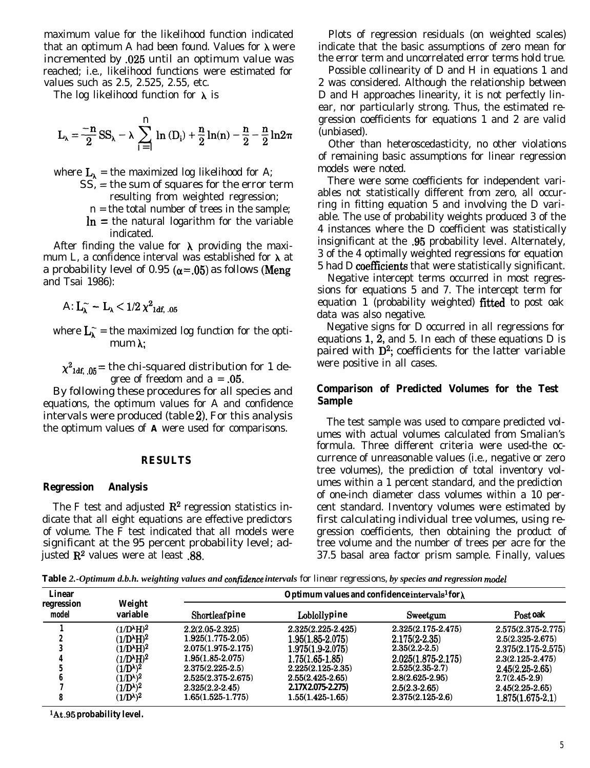maximum value for the likelihood function indicated that an optimum A had been found. Values for  $\lambda$  were incremented by .025 until an optimum value was reached; i.e., likelihood functions were estimated for values such as 2.5, 2.525, 2.55, etc.

The log likelihood function for  $\lambda$  is

$$
L_\lambda = \frac{-n}{2}\,SS_\lambda - \lambda\,\sum_{i\,=\,1}^n\,\ln\,(D_i) + \frac{n}{2}\,\ln(n) - \frac{n}{2} - \frac{n}{2}\,ln2\pi
$$

where  $L_{\lambda}$  = the maximized log likelihood for A;

- SS, = the sum of squares for the error term resulting from weighted regression;
	- n = the total number of trees in the sample;
	- $\ln$  = the natural logarithm for the variable indicated.

After finding the value for  $\lambda$  providing the maximum L, a confidence interval was established for  $\lambda$  at a probability level of 0.95 ( $\alpha$ =.05) as follows (Meng and Tsai 1986):

A:  $L_{\lambda} \sim -L_{\lambda} < 1/2 \chi^2_{1df, 05}$ 

where  $\mathbf{L}_{\lambda}^{\sim}$  = the maximized log function for the optimum A;

 $\chi^2_{\text{1df}}$   $_{05}$  = the chi-squared distribution for 1 degree of freedom and  $a = .05$ .

By following these procedures for all species and equations, the optimum values for A and confidence intervals were produced (table 2). For this analysis the optimum values of **A** were used for comparisons.

#### **RESULTS**

#### **Regression Analysis**

The F test and adjusted  $\mathbb{R}^2$  regression statistics indicate that all eight equations are effective predictors of volume. The F test indicated that all models were significant at the 95 percent probability level; adjusted  $\mathbb{R}^2$  values were at least .88.

Plots of regression residuals (on weighted scales) indicate that the basic assumptions of zero mean for the error term and uncorrelated error terms hold true.

Possible collinearity of D and H in equations 1 and 2 was considered. Although the relationship between D and H approaches linearity, it is not perfectly linear, nor particularly strong. Thus, the estimated regression coefficients for equations 1 and 2 are valid (unbiased).

Other than heteroscedasticity, no other violations of remaining basic assumptions for linear regression models were noted.

There were some coefficients for independent variables not statistically different from zero, all occurring in fitting equation 5 and involving the D variable. The use of probability weights produced 3 of the 4 instances where the D coefficient was statistically insignificant at the .95 probability level. Alternately, 3 of the 4 optimally weighted regressions for equation 5 had D coefficients that were statistically significant.

Negative intercept terms occurred in most regressions for equations 5 and 7. The intercept term for equation 1 (probability weighted) fitted to post oak data was also negative.

Negative signs for D occurred in all regressions for equations 1,  $\tilde{2}$ , and 5. In each of these equations D is paired with  $D^2$ ; coefficients for the latter variable were positive in all cases.

## **Comparison of Predicted Volumes for the Test Sample**

The test sample was used to compare predicted volumes with actual volumes calculated from Smalian's formula. Three different criteria were used-the occurrence of unreasonable values (i.e., negative or zero tree volumes), the prediction of total inventory volumes within a 1 percent standard, and the prediction of one-inch diameter class volumes within a 10 percent standard. Inventory volumes were estimated by first calculating individual tree volumes, using regression coefficients, then obtaining the product of tree volume and the number of trees per acre for the 37.5 basal area factor prism sample. Finally, values

**Table** 2.-Optimum d.b.h. weighting values and confidence intervals for linear regressions, by species and regression model

| Linear              |                                   | Optimum values and confidence intervals <sup>1</sup> for $\lambda$ |                      |                        |                      |  |  |
|---------------------|-----------------------------------|--------------------------------------------------------------------|----------------------|------------------------|----------------------|--|--|
| regression<br>model | Weight<br>variable                | Shortleafpine                                                      | Loblollypine         | Sweetgum               | Post oak             |  |  |
|                     | $(1/D^{\lambda}H)^2$              | $2.2(2.05 - 2.325)$                                                | 2.325(2.225-2.425)   | $2.325(2.175 - 2.475)$ | 2.575(2.375-2.775)   |  |  |
|                     | $(1/D^{\lambda}H)^2$              | $1.925(1.775-2.05)$                                                | $1.95(1.85 - 2.075)$ | $2.175(2-2.35)$        | $2.5(2.325 - 2.675)$ |  |  |
|                     | (1/D <sup>λ</sup> H) <sup>2</sup> | $2.075(1.975-2.175)$                                               | $1.975(1.9 - 2.075)$ | $2.35(2.2-2.5)$        | 2.375(2.175-2.575)   |  |  |
|                     | $(1/D^{\lambda}H)^2$              | 1.95(1.85-2.075)                                                   | $1.75(1.65-1.85)$    | $2.025(1.875 - 2.175)$ | $2.3(2.125 - 2.475)$ |  |  |
|                     | $(1/D\lambda)2$                   | $2.375(2.225-2.5)$                                                 | $2.225(2.125-2.35)$  | $2.525(2.35-2.7)$      | $2.45(2.25-2.65)$    |  |  |
|                     | $(1/D\lambda)2$                   | $2.525(2.375 - 2.675)$                                             | $2.55(2.425 - 2.65)$ | $2.8(2.625 - 2.95)$    | $2.7(2.45-2.9)$      |  |  |
|                     | (1/D <sup>λ</sup> ) <sup>2</sup>  | $2.325(2.2-2.45)$                                                  | 2.17X2.075-2.275)    | $2.5(2.3 - 2.65)$      | $2.45(2.25 - 2.65)$  |  |  |
|                     | (1/D <sup>λ</sup> ) <sup>2</sup>  | 1.65(1.525-1.775)                                                  | $1.55(1.425-1.65)$   | $2.375(2.125-2.6)$     | $1.875(1.675-2.1)$   |  |  |
|                     |                                   |                                                                    |                      |                        |                      |  |  |

**'At.95 probability level.**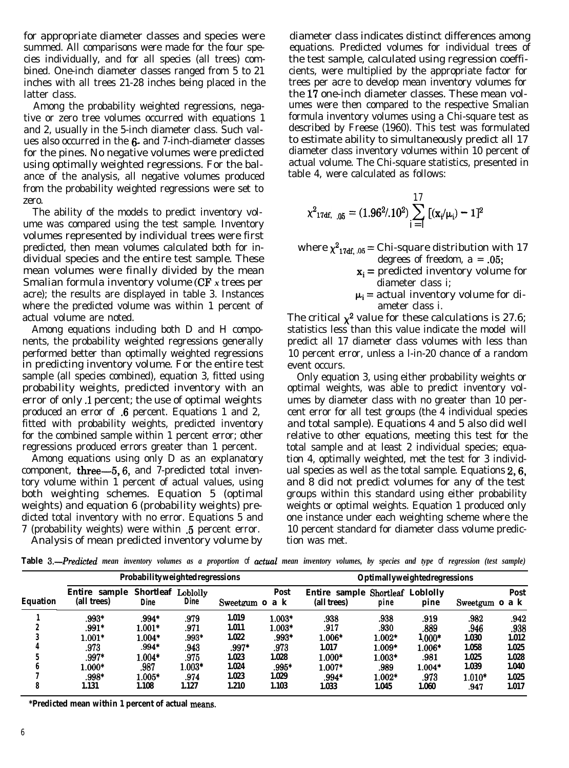for appropriate diameter classes and species were summed. All comparisons were made for the four species individually, and for all species (all trees) combined. One-inch diameter classes ranged from 5 to 21 inches with all trees 21-28 inches being placed in the latter class.

Among the probability weighted regressions, negative or zero tree volumes occurred with equations 1 and 2, usually in the 5-inch diameter class. Such values also occurred in the 6- and 7-inch-diameter classes for the pines. No negative volumes were predicted using optimally weighted regressions. For the balance of the analysis, all negative volumes produced from the probability weighted regressions were set to zero.

The ability of the models to predict inventory volume was compared using the test sample. Inventory volumes represented by individual trees were first predicted, then mean volumes calculated both for individual species and the entire test sample. These mean volumes were finally divided by the mean Smalian formula inventory volume (CF *x* trees per acre); the results are displayed in table 3. Instances where the predicted volume was within 1 percent of actual volume are noted.

Among equations including both D and H components, the probability weighted regressions generally performed better than optimally weighted regressions in predicting inventory volume. For the entire test sample (all species combined), equation 3, fitted using probability weights, predicted inventory with an error of only .l percent; the use of optimal weights produced an error of .6 percent. Equations 1 and 2, fitted with probability weights, predicted inventory for the combined sample within 1 percent error; other regressions produced errors greater than 1 percent.

Among equations using only D as an explanatory component, **three**— $5, 6$ , and 7-predicted total inventory volume within 1 percent of actual values, using both weighting schemes. Equation 5 (optimal weights) and equation 6 (probability weights) predicted total inventory with no error. Equations 5 and 7 (probability weights) were within .5 percent error.

Analysis of mean predicted inventory volume by

diameter class indicates distinct differences among equations. Predicted volumes for individual trees of the test sample, calculated using regression coefficients, were multiplied by the appropriate factor for trees per acre to develop mean inventory volumes for the 17 one-inch diameter classes. These mean volumes were then compared to the respective Smalian formula inventory volumes using a Chi-square test as described by Freese (1960). This test was formulated to estimate ability to simultaneously predict all 17 diameter class inventory volumes within 10 percent of actual volume. The Chi-square statistics, presented in table 4, were calculated as follows:

$$
\chi^2_{17df, 0.05} = (1.96^2/0.10^2) \sum_{i=1}^{17} \left[ (x_i/\mu_i) - 1 \right]^2
$$

- where  $\chi^2_{17df.05}$  = Chi-square distribution with 17 degrees of freedom,  $a = .05$ ;
	- $x_i$  = predicted inventory volume for diameter class i;
	- $\mu_i$  = actual inventory volume for diameter class i.

The critical  $\chi^2$  value for these calculations is 27.6; statistics less than this value indicate the model will predict all 17 diameter class volumes with less than 10 percent error, unless a l-in-20 chance of a random event occurs.

Only equation 3, using either probability weights or optimal weights, was able to predict inventory volumes by diameter class with no greater than 10 percent error for all test groups (the 4 individual species and total sample). Equations 4 and 5 also did well relative to other equations, meeting this test for the total sample and at least 2 individual species; equation 4, optimally weighted, met the test for 3 individual species as well as the total sample. Equations 2,6, and 8 did not predict volumes for any of the test groups within this standard using either probability weights or optimal weights. Equation 1 produced only one instance under each weighting scheme where the 10 percent standard for diameter class volume prediction was met.

**Table** *B.-Predicted mean inventory volumes as a proportion of actuul mean inventory volumes, by species and type of regression (test sample)*

|                 |                              | Probability weighted regressions |             |          |                             | <b>Optimallyweightedregressions</b>                    |          |          |                |       |
|-----------------|------------------------------|----------------------------------|-------------|----------|-----------------------------|--------------------------------------------------------|----------|----------|----------------|-------|
| <b>Equation</b> | Entire sample<br>(all trees) | Shortleaf Loblolly<br>Dine       | <b>Dine</b> | Sweetgum | Post<br>a k<br>$\mathbf{0}$ | <b>Entire sample Shortleaf Loblolly</b><br>(all trees) | pine     | pine     | Sweetgum o a k | Post  |
|                 | .993*                        | .994*                            | .979        | l.019    | $1.003*$                    | .938                                                   | .938     | .919     | .982           | .942  |
| Δ               | $.991*$                      | $1.001*$                         | .971        | 1.011    | $1.003*$                    | .917                                                   | .930     | .889     | .946           | .938  |
|                 | $1.001*$                     | $1.004*$                         | .993*       | 1.022    | $.993*$                     | $1.006*$                                               | $1.002*$ | $1,000*$ | 1.030          | 1.012 |
|                 | .973                         | .994*                            | .943        | $.997*$  | .973                        | 1.017                                                  | $1.009*$ | 1.006*   | 1.058          | 1.025 |
|                 | .997*                        | $1.004*$                         | .975        | 1.023    | 1.028                       | $1.000*$                                               | $1.003*$ | .981     | 1.025          | 1.028 |
|                 | $1.000*$                     | .987                             | $1.003*$    | 1.024    | .995*                       | $1.007*$                                               | .989     | $1.004*$ | 1.039          | 1.040 |
|                 | $.998*$                      | $1.005*$                         | .974        | 1.023    | 1.029                       | $.994*$                                                | $1.002*$ | .973     | $1.010*$       | 1.025 |
|                 | 1.131                        | 1.108                            | 1.127       | l.210    | 1.103                       | 1.033                                                  | 1.045    | 1.060    | .947           | 1.017 |

**\*Predicted mean within 1 percent of actual meaus.**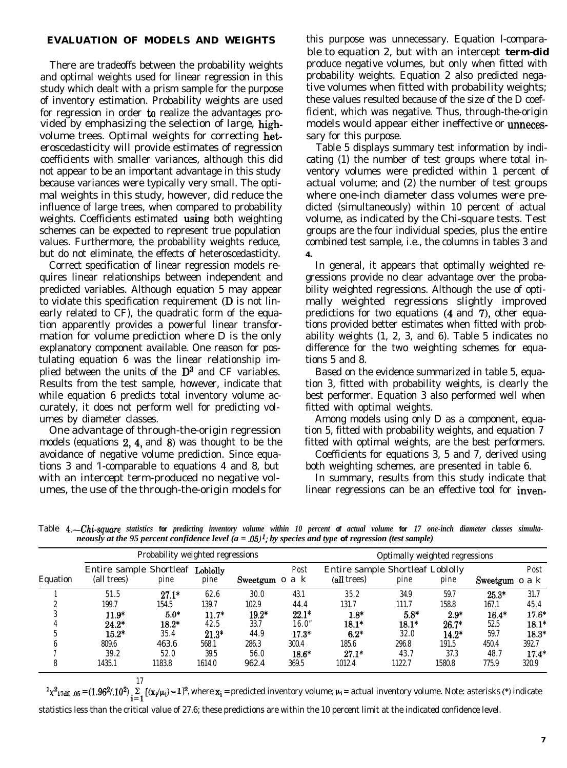### **EVALUATION OF MODELS AND WEIGHTS**

There are tradeoffs between the probability weights and optimal weights used for linear regression in this study which dealt with a prism sample for the purpose of inventory estimation. Probability weights are used for regression in order to realize the advantages provided by emphasizing the selection of large, highvolume trees. Optimal weights for correcting heteroscedasticity will provide estimates of regression coefficients with smaller variances, although this did not appear to be an important advantage in this study because variances were typically very small. The optimal weights in this study, however, did reduce the influence of large trees, when compared to probability weights. Coefficients estimated using both weighting schemes can be expected to represent true population values. Furthermore, the probability weights reduce, but do not eliminate, the effects of heteroscedasticity.

Correct specification of linear regression models requires linear relationships between independent and predicted variables. Although equation 5 may appear to violate this specification requirement (D is not linearly related to CF), the quadratic form of the equation apparently provides a powerful linear transformation for volume prediction where D is the only explanatory component available. One reason for postulating equation 6 was the linear relationship implied between the units of the  $\mathbb{D}^3$  and CF variables. Results from the test sample, however, indicate that while equation 6 predicts total inventory volume accurately, it does not perform well for predicting volumes by diameter classes.

One advantage of through-the-origin regression models (equations  $2, 4$ , and  $8$ ) was thought to be the avoidance of negative volume prediction. Since equations 3 and 'I-comparable to equations 4 and 8, but with an intercept term-produced no negative volumes, the use of the through-the-origin models for

this purpose was unnecessary. Equation l-comparable to equation 2, but with an intercept **term-did** produce negative volumes, but only when fitted with probability weights. Equation 2 also predicted negative volumes when fitted with probability weights; these values resulted because of the size of the D coefficient, which was negative. Thus, through-the-origin models would appear either ineffective or **unneces**sary for this purpose.

Table 5 displays summary test information by indicating (1) the number of test groups where total inventory volumes were predicted within 1 percent of actual volume; and (2) the number of test groups where one-inch diameter class volumes were predicted (simultaneously) within 10 percent of actual volume, as indicated by the Chi-square tests. Test groups are the four individual species, plus the entire combined test sample, i.e., the columns in tables 3 and *4.*

In general, it appears that optimally weighted regressions provide no clear advantage over the probability weighted regressions. Although the use of optimally weighted regressions slightly improved predictions for two equations  $(4 \text{ and } 7)$ , other equations provided better estimates when fitted with probability weights (1, 2, 3, and 6). Table 5 indicates no difference for the two weighting schemes for equations 5 and 8.

Based on the evidence summarized in table 5, equation 3, fitted with probability weights, is clearly the best performer. Equation 3 also performed well when fitted with optimal weights.

Among models using only D as a component, equation 5, fitted with probability weights, and equation 7 fitted with optimal weights, are the best performers.

Coefficients for equations 3, 5 and 7, derived using both weighting schemes, are presented in table 6.

In summary, results from this study indicate that linear regressions can be an effective tool for inven-

Table *4.-Chi-square statistics for predicting inventory volume within 10 percent of actual volume for 17 one-inch diameter classes simultaneously at the 95 percent confidence level (a = .05)'; by species and type of regression (test sample)*

|          | Probability weighted regressions                |         |         |                |         | Optimally weighted regressions                  |         |         |                |         |
|----------|-------------------------------------------------|---------|---------|----------------|---------|-------------------------------------------------|---------|---------|----------------|---------|
| Equation | Entire sample Shortleaf Loblolly<br>(all trees) | pine    | pine    | Sweetgum o a k | Post    | Entire sample Shortleaf Loblolly<br>(all trees) | pine    | pine    | Sweetgum o a k | Post    |
|          | 51.5                                            | $27.1*$ | 62.6    | 30.0           | 43.1    | 35.2                                            | 34.9    | 59.7    | $25.3*$        | 31.7    |
|          | 199.7                                           | 154.5   | 139.7   | 102.9          | 44.4    | 131.7                                           | 111.7   | 158.8   | 167.1          | 45.4    |
|          | $11.9*$                                         | $5.0*$  | $11.7*$ | $19.2*$        | $22.1*$ | $1.8*$                                          | $5.8*$  | $2.9*$  | $16.4*$        | $17.6*$ |
|          | $24.2*$                                         | $18.2*$ | 42.5    | 33.7           | 16.0"   | $18.1*$                                         | $18.1*$ | $26.7*$ | 52.5           | $18.1*$ |
|          | $15.2*$                                         | 35.4    | $21.3*$ | 44.9           | $17.3*$ | $6.2*$                                          | 32.0    | $14.2*$ | 59.7           | $18.3*$ |
|          | 809.6                                           | 463.6   | 568.1   | 286.3          | 300.4   | 185.6                                           | 296.8   | 191.5   | 450.4          | 392.7   |
|          | 39.2                                            | 52.0    | 39.5    | 56.0           | $18.6*$ | $27.1*$                                         | 43.7    | 37.3    | 48.7           | $17.4*$ |
| 8        | 1435.1                                          | 1183.8  | 1614.0  | 962.4          | 369.5   | 1012.4                                          | 1122.7  | 1580.8  | 775.9          | 320.9   |

17 1x2r~~, .eb = (l.96?.102) Jl [(Xi/pi) - 112, where xi = predicted inventory volume; h = actual inventory volume. Note: asterisks (\*I indicate statistics less than the critical value of 27.6; these predictions are within the 10 percent limit at the indicated confidence level.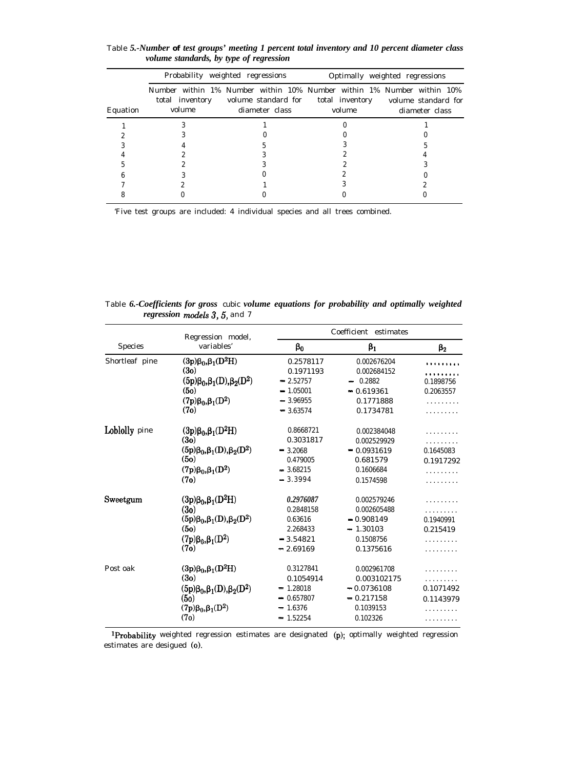|          |        | Probability weighted regressions                                                                                               | Optimally weighted regressions |                                       |  |
|----------|--------|--------------------------------------------------------------------------------------------------------------------------------|--------------------------------|---------------------------------------|--|
| Equation | volume | Number within 1% Number within 10% Number within 1% Number within 10%<br>total inventory volume standard for<br>diameter class | total inventory<br>volume      | volume standard for<br>diameter class |  |
|          |        |                                                                                                                                |                                |                                       |  |
|          |        |                                                                                                                                |                                |                                       |  |
|          |        |                                                                                                                                |                                |                                       |  |
|          |        |                                                                                                                                |                                |                                       |  |
|          |        |                                                                                                                                |                                |                                       |  |
|          |        |                                                                                                                                |                                |                                       |  |
|          |        |                                                                                                                                |                                |                                       |  |
|          |        |                                                                                                                                |                                |                                       |  |

Table *5.-Number of test groups' meeting 1 percent total inventory and 10 percent diameter class volume standards, by type of regression*

'Five test groups are included: 4 individual species and all trees combined.

Table *6.-Coefficients for gross* cubic *volume equations for probability and optimally weighted regression models 3, 5, and 7* 

| <b>Species</b> | Regression model,                             | Coefficient estimates |              |           |  |  |
|----------------|-----------------------------------------------|-----------------------|--------------|-----------|--|--|
|                | variables'                                    | $\beta_0$             | $\beta_1$    | $\beta_2$ |  |  |
| Shortleaf pine | $(3p)\beta_0, \beta_1(D^2H)$                  | 0.2578117             | 0.002676204  |           |  |  |
|                | (3o)                                          | 0.1971193             | 0.002684152  |           |  |  |
|                | $(5p)\beta_0$ , $\beta_1(D)$ , $\beta_2(D^2)$ | $-2.52757$            | 0.2882       | 0.1898756 |  |  |
|                | (5 <sub>o</sub> )                             | $-1.05001$            | $-0.619361$  | 0.2063557 |  |  |
|                | $(7p)\beta_0, \beta_1(D^2)$                   | $-3.96955$            | 0.1771888    |           |  |  |
|                | (7o)                                          | $-3.63574$            | 0.1734781    |           |  |  |
| Loblolly pine  | $(3p)\beta_0, \beta_1(D^2H)$                  | 0.8668721             | 0.002384048  |           |  |  |
|                | (3o)                                          | 0.3031817             | 0.002529929  |           |  |  |
|                | $(5p)\beta_0, \beta_1(D), \beta_2(D^2)$       | $-3.2068$             | $-0.0931619$ | 0.1645083 |  |  |
|                | (50)                                          | 0.479005              | 0.681579     | 0.1917292 |  |  |
|                | $(7p)\beta_0, \beta_1(D^2)$                   | $-3.68215$            | 0.1606684    |           |  |  |
|                | (7o)                                          | $-3.3994$             | 0.1574598    |           |  |  |
| Sweetgum       | $(3p)\beta_0, \beta_1(D^2H)$                  | 0.2976087             | 0.002579246  |           |  |  |
|                | (3 <sub>0</sub> )                             | 0.2848158             | 0.002605488  |           |  |  |
|                | $(5p)\beta_0, \beta_1(D), \beta_2(D^2)$       | 0.63616               | $-0.908149$  | 0.1940991 |  |  |
|                | (5 <sub>0</sub> )                             | 2.268433              | $-1.30103$   | 0.215419  |  |  |
|                | $(7p)\beta_0, \beta_1(D^2)$                   | $= 3.54821$           | 0.1508756    |           |  |  |
|                | (7o)                                          | $-2.69169$            | 0.1375616    |           |  |  |
| Post oak       | $(3p)\beta_0, \beta_1(D^2H)$                  | 0.3127841             | 0.002961708  |           |  |  |
|                | (3 <sub>0</sub> )                             | 0.1054914             | 0.003102175  |           |  |  |
|                | $(5p)\beta_0$ , $\beta_1(D)$ , $\beta_2(D^2)$ | 1.28018               | $-0.0736108$ | 0.1071492 |  |  |
|                | (50)                                          | 0.657807              | $-0.217158$  | 0.1143979 |  |  |
|                | $(7p)\beta_0, \beta_1(D^2)$                   | 1.6376                | 0.1039153    |           |  |  |
|                | (7 <sub>o</sub> )                             | 1.52254               | 0.102326     |           |  |  |

IProbability weighted regression estimates are designated (p); optimally weighted regression estimates are desigued (0).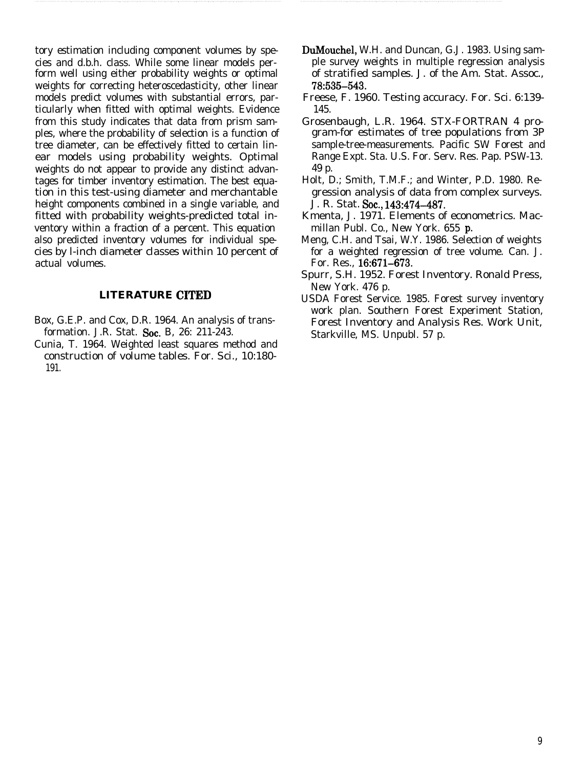tory estimation including component volumes by species and d.b.h. class. While some linear models perform well using either probability weights or optimal weights for correcting heteroscedasticity, other linear models predict volumes with substantial errors, particularly when fitted with optimal weights. Evidence from this study indicates that data from prism samples, where the probability of selection is a function of tree diameter, can be effectively fitted to certain linear models using probability weights. Optimal weights do not appear to provide any distinct advantages for timber inventory estimation. The best equation in this test-using diameter and merchantable height components combined in a single variable, and fitted with probability weights-predicted total inventory within a fraction of a percent. This equation also predicted inventory volumes for individual species by l-inch diameter classes within 10 percent of actual volumes.

# **LITERATURE CITED**

- Box, G.E.P. and Cox, D.R. 1964. An analysis of transformation. J.R. Stat. Soc. B. 26: 211-243.
- Cunia, T. 1964. Weighted least squares method and construction of volume tables. For. Sci., 10:180- 191.
- DuMouchel, W.H. and Duncan, G.J. 1983. Using sample survey weights in multiple regression analysis of stratified samples. J. of the Am. Stat. Assoc., **78:535-543.**
- Freese, F. 1960. Testing accuracy. For. Sci. 6:139- 145.
- Grosenbaugh, L.R. 1964. STX-FORTRAN 4 program-for estimates of tree populations from 3P sample-tree-measurements. Pacific SW Forest and Range Expt. Sta. U.S. For. Serv. Res. Pap. PSW-13. 49 p.
- Holt, D.; Smith, T.M.F.; and Winter, P.D. 1980. Regression analysis of data from complex surveys. J. R. Stat. Soc., 143:474-487.
- Kmenta, J. 1971. Elements of econometrics. Macmillan Publ. Co., New York. 655 p.
- Meng, C.H. and Tsai, W.Y. 1986. Selection of weights for a weighted regression of tree volume. Can. J. For. Res., 16:671-673.
- Spurr, S.H. 1952. Forest Inventory. Ronald Press, New York. 476 p.
- USDA Forest Service. 1985. Forest survey inventory work plan. Southern Forest Experiment Station, Forest Inventory and Analysis Res. Work Unit, Starkville, MS. Unpubl. 57 p.